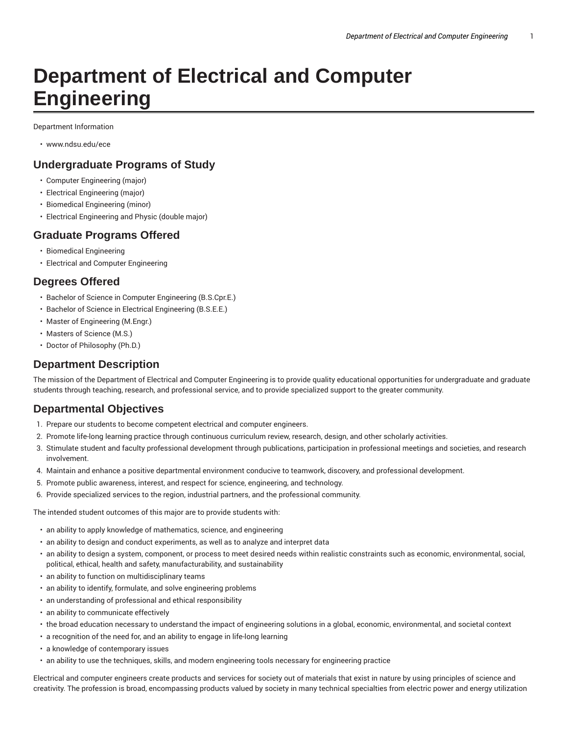# **Department of Electrical and Computer Engineering**

Department Information

• www.ndsu.edu/ece

#### **Undergraduate Programs of Study**

- Computer Engineering (major)
- Electrical Engineering (major)
- Biomedical Engineering (minor)
- Electrical Engineering and Physic (double major)

#### **Graduate Programs Offered**

- Biomedical Engineering
- Electrical and Computer Engineering

# **Degrees Offered**

- Bachelor of Science in Computer Engineering (B.S.Cpr.E.)
- Bachelor of Science in Electrical Engineering (B.S.E.E.)
- Master of Engineering (M.Engr.)
- Masters of Science (M.S.)
- Doctor of Philosophy (Ph.D.)

## **Department Description**

The mission of the Department of Electrical and Computer Engineering is to provide quality educational opportunities for undergraduate and graduate students through teaching, research, and professional service, and to provide specialized support to the greater community.

#### **Departmental Objectives**

- 1. Prepare our students to become competent electrical and computer engineers.
- 2. Promote life-long learning practice through continuous curriculum review, research, design, and other scholarly activities.
- 3. Stimulate student and faculty professional development through publications, participation in professional meetings and societies, and research involvement.
- 4. Maintain and enhance a positive departmental environment conducive to teamwork, discovery, and professional development.
- 5. Promote public awareness, interest, and respect for science, engineering, and technology.
- 6. Provide specialized services to the region, industrial partners, and the professional community.

The intended student outcomes of this major are to provide students with:

- an ability to apply knowledge of mathematics, science, and engineering
- an ability to design and conduct experiments, as well as to analyze and interpret data
- an ability to design a system, component, or process to meet desired needs within realistic constraints such as economic, environmental, social, political, ethical, health and safety, manufacturability, and sustainability
- an ability to function on multidisciplinary teams
- an ability to identify, formulate, and solve engineering problems
- an understanding of professional and ethical responsibility
- an ability to communicate effectively
- the broad education necessary to understand the impact of engineering solutions in a global, economic, environmental, and societal context
- a recognition of the need for, and an ability to engage in life-long learning
- a knowledge of contemporary issues
- an ability to use the techniques, skills, and modern engineering tools necessary for engineering practice

Electrical and computer engineers create products and services for society out of materials that exist in nature by using principles of science and creativity. The profession is broad, encompassing products valued by society in many technical specialties from electric power and energy utilization